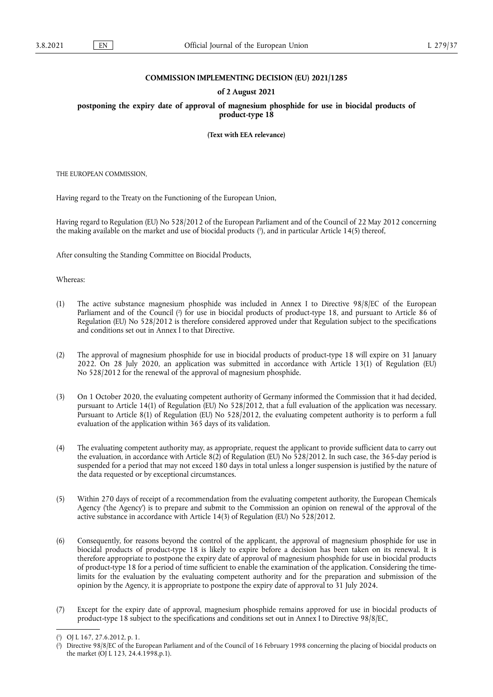## **COMMISSION IMPLEMENTING DECISION (EU) 2021/1285**

## **of 2 August 2021**

**postponing the expiry date of approval of magnesium phosphide for use in biocidal products of product-type 18** 

**(Text with EEA relevance)** 

THE EUROPEAN COMMISSION,

Having regard to the Treaty on the Functioning of the European Union,

<span id="page-0-2"></span>Having regard to Regulation (EU) No 528/2012 of the European Parliament and of the Council of 22 May 2012 concerning the making available on the market and use of biocidal products [\(](#page-0-0) 1 ), and in particular Article 14(5) thereof,

After consulting the Standing Committee on Biocidal Products,

Whereas:

- <span id="page-0-3"></span>(1) The active substance magnesium phosphide was included in Annex I to Directive 98/8/EC of the European Parliament and of the Council [\(](#page-0-1) 2 ) for use in biocidal products of product-type 18, and pursuant to Article 86 of Regulation (EU) No 528/2012 is therefore considered approved under that Regulation subject to the specifications and conditions set out in Annex I to that Directive.
- (2) The approval of magnesium phosphide for use in biocidal products of product-type 18 will expire on 31 January 2022. On 28 July 2020, an application was submitted in accordance with Article 13(1) of Regulation (EU) No 528/2012 for the renewal of the approval of magnesium phosphide.
- (3) On 1 October 2020, the evaluating competent authority of Germany informed the Commission that it had decided, pursuant to Article 14(1) of Regulation (EU) No 528/2012, that a full evaluation of the application was necessary. Pursuant to Article 8(1) of Regulation (EU) No 528/2012, the evaluating competent authority is to perform a full evaluation of the application within 365 days of its validation.
- (4) The evaluating competent authority may, as appropriate, request the applicant to provide sufficient data to carry out the evaluation, in accordance with Article 8(2) of Regulation (EU) No 528/2012. In such case, the 365-day period is suspended for a period that may not exceed 180 days in total unless a longer suspension is justified by the nature of the data requested or by exceptional circumstances.
- (5) Within 270 days of receipt of a recommendation from the evaluating competent authority, the European Chemicals Agency ('the Agency') is to prepare and submit to the Commission an opinion on renewal of the approval of the active substance in accordance with Article 14(3) of Regulation (EU) No 528/2012.
- (6) Consequently, for reasons beyond the control of the applicant, the approval of magnesium phosphide for use in biocidal products of product-type 18 is likely to expire before a decision has been taken on its renewal. It is therefore appropriate to postpone the expiry date of approval of magnesium phosphide for use in biocidal products of product-type 18 for a period of time sufficient to enable the examination of the application. Considering the timelimits for the evaluation by the evaluating competent authority and for the preparation and submission of the opinion by the Agency, it is appropriate to postpone the expiry date of approval to 31 July 2024.
- (7) Except for the expiry date of approval, magnesium phosphide remains approved for use in biocidal products of product-type 18 subject to the specifications and conditions set out in Annex I to Directive 98/8/EC,

<span id="page-0-0"></span>[<sup>\(</sup>](#page-0-2) 1 ) OJ L 167, 27.6.2012, p. 1.

<span id="page-0-1"></span>[<sup>\(</sup>](#page-0-3) 2 ) Directive 98/8/EC of the European Parliament and of the Council of 16 February 1998 concerning the placing of biocidal products on the market (OJ L 123, 24.4.1998,p.1).